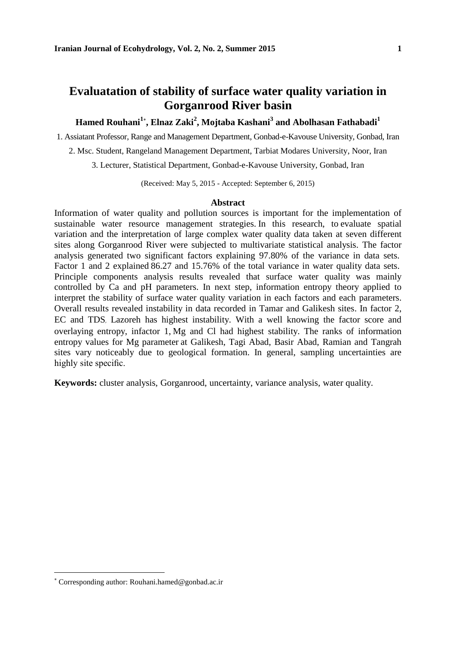## **Evaluatation of stability of surface water quality variation in Gorganrood River basin**

## **Hamed Rouhani<sup>1</sup> , Elnaz Zaki<sup>2</sup> , Mojtaba Kashani<sup>3</sup> and Abolhasan Fathabadi<sup>1</sup>**

1. Assiatant Professor, Range and Management Department, Gonbad-e-Kavouse University, Gonbad, Iran

2. Msc. Student, Rangeland Management Department, Tarbiat Modares University, Noor, Iran

3. Lecturer, Statistical Department, Gonbad-e-Kavouse University, Gonbad, Iran

(Received: May 5, 2015 - Accepted: September 6, 2015)

#### **Abstract**

Information of water quality and pollution sources is important for the implementation of sustainable water resource management strategies. In this research, to evaluate spatial variation and the interpretation of large complex water quality data taken at seven different sites along Gorganrood River were subjected to multivariate statistical analysis. The factor analysis generated two significant factors explaining 97.80% of the variance in data sets. Factor 1 and 2 explained 86.27 and 15.76% of the total variance in water quality data sets. Principle components analysis results revealed that surface water quality was mainly controlled by Ca and pH parameters. In next step, information entropy theory applied to interpret the stability of surface water quality variation in each factors and each parameters. Overall results revealed instability in data recorded in Tamar and Galikesh sites. In factor 2, EC and TDS, Lazoreh has highest instability. With a well knowing the factor score and overlaying entropy, infactor 1, Mg and Cl had highest stability. The ranks of information entropy values for Mg parameter at Galikesh, Tagi Abad, Basir Abad, Ramian and Tangrah sites vary noticeably due to geological formation. In general, sampling uncertainties are highly site specific.

**Keywords:** cluster analysis, Gorganrood, uncertainty, variance analysis, water quality.

Corresponding author: Rouhani.hamed@gonbad.ac.ir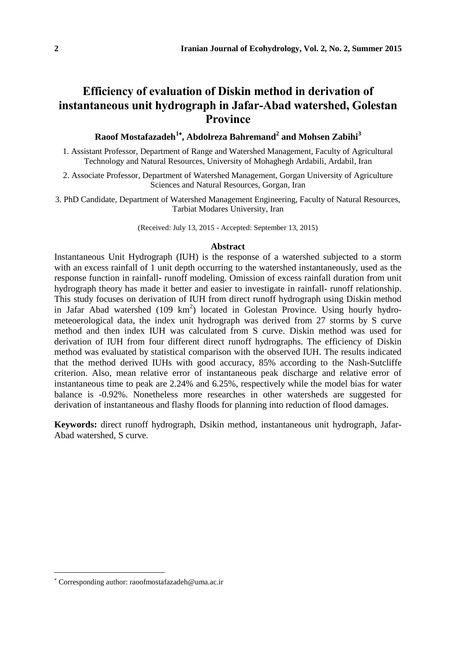# **Efficiency of evaluation of Diskin method in derivation of instantaneous unit hydrograph in Jafar-Abad watershed, Golestan Province**

### **Raoof Mostafazadeh<sup>1</sup> , Abdolreza Bahremand<sup>2</sup> and Mohsen Zabihi<sup>3</sup>**

1. Assistant Professor, Department of Range and Watershed Management, Faculty of Agricultural Technology and Natural Resources, University of Mohaghegh Ardabili, Ardabil, Iran

2. Associate Professor, Department of Watershed Management, Gorgan University of Agriculture Sciences and Natural Resources, Gorgan, Iran

3. PhD Candidate, Department of Watershed Management Engineering, Faculty of Natural Resources, Tarbiat Modares University, Iran

(Received: July 13, 2015 - Accepted: September 13, 2015)

#### **Abstract**

Instantaneous Unit Hydrograph (IUH) is the response of a watershed subjected to a storm with an excess rainfall of 1 unit depth occurring to the watershed instantaneously, used as the response function in rainfall- runoff modeling. Omission of excess rainfall duration from unit hydrograph theory has made it better and easier to investigate in rainfall- runoff relationship. This study focuses on derivation of IUH from direct runoff hydrograph using Diskin method in Jafar Abad watershed (109 km<sup>2</sup>) located in Golestan Province. Using hourly hydrometeoerological data, the index unit hydrograph was derived from 27 storms by S curve method and then index IUH was calculated from S curve. Diskin method was used for derivation of IUH from four different direct runoff hydrographs. The efficiency of Diskin method was evaluated by statistical comparison with the observed IUH. The results indicated that the method derived IUHs with good accuracy, 85% according to the Nash-Sutcliffe criterion. Also, mean relative error of instantaneous peak discharge and relative error of instantaneous time to peak are 2.24% and 6.25%, respectively while the model bias for water balance is -0.92%. Nonetheless more researches in other watersheds are suggested for derivation of instantaneous and flashy floods for planning into reduction of flood damages.

**Keywords:** direct runoff hydrograph, Dsikin method, instantaneous unit hydrograph, Jafar-Abad watershed, S curve.

Corresponding author: raoofmostafazadeh@uma.ac.ir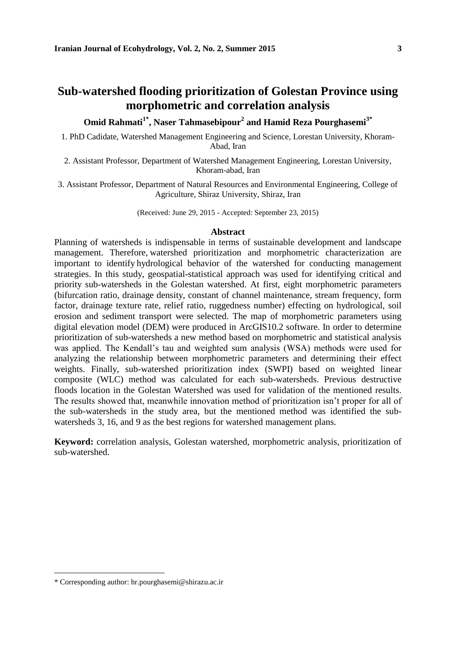## **Sub-watershed flooding prioritization of Golestan Province using morphometric and correlation analysis**

**Omid Rahmati1\* , Naser Tahmasebipour<sup>2</sup> and Hamid Reza Pourghasemi3\***

1. PhD Cadidate, Watershed Management Engineering and Science, Lorestan University, Khoram-Abad, Iran

2. Assistant Professor, Department of Watershed Management Engineering, Lorestan University, Khoram-abad, Iran

3. Assistant Professor, Department of Natural Resources and Environmental Engineering, College of Agriculture, Shiraz University, Shiraz, Iran

(Received: June 29, 2015 - Accepted: September 23, 2015)

### **Abstract**

Planning of watersheds is indispensable in terms of sustainable development and landscape management. Therefore, watershed prioritization and morphometric characterization are important to identify hydrological behavior of the watershed for conducting management strategies. In this study, geospatial-statistical approach was used for identifying critical and priority sub-watersheds in the Golestan watershed. At first, eight morphometric parameters (bifurcation ratio, drainage density, constant of channel maintenance, stream frequency, form factor, drainage texture rate, relief ratio, ruggedness number) effecting on hydrological, soil erosion and sediment transport were selected. The map of morphometric parameters using digital elevation model (DEM) were produced in ArcGIS10.2 software. In order to determine prioritization of sub-watersheds a new method based on morphometric and statistical analysis was applied. The Kendall's tau and weighted sum analysis (WSA) methods were used for analyzing the relationship between morphometric parameters and determining their effect weights. Finally, sub-watershed prioritization index (SWPI) based on weighted linear composite (WLC) method was calculated for each sub-watersheds. Previous destructive floods location in the Golestan Watershed was used for validation of the mentioned results. The results showed that, meanwhile innovation method of prioritization isn't proper for all of the sub-watersheds in the study area, but the mentioned method was identified the subwatersheds 3, 16, and 9 as the best regions for watershed management plans.

**Keyword:** correlation analysis, Golestan watershed, morphometric analysis, prioritization of sub-watershed.

<sup>\*</sup> Corresponding author: hr.pourghasemi@shirazu.ac.ir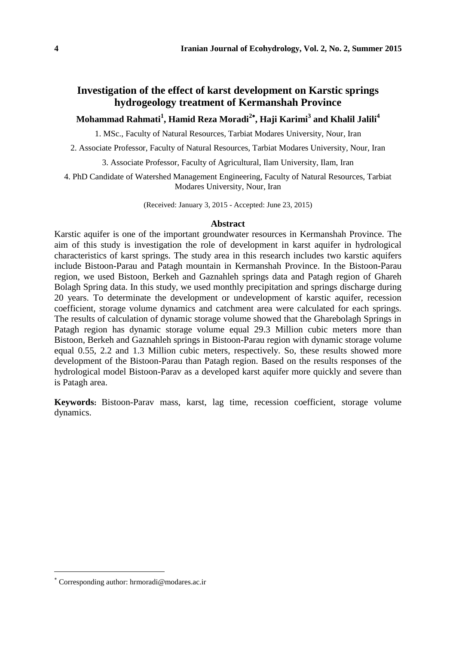## **Investigation of the effect of karst development on Karstic springs hydrogeology treatment of Kermanshah Province**

### **Mohammad Rahmati<sup>1</sup> , Hamid Reza Moradi<sup>2</sup> , Haji Karimi<sup>3</sup> and Khalil Jalili<sup>4</sup>**

1. MSc., Faculty of Natural Resources, Tarbiat Modares University, Nour, Iran

2. Associate Professor, Faculty of Natural Resources, Tarbiat Modares University, Nour, Iran

3. Associate Professor, Faculty of Agricultural, Ilam University, Ilam, Iran

4. PhD Candidate of Watershed Management Engineering, Faculty of Natural Resources, Tarbiat Modares University, Nour, Iran

(Received: January 3, 2015 - Accepted: June 23, 2015)

#### **Abstract**

Karstic aquifer is one of the important groundwater resources in Kermanshah Province. The aim of this study is investigation the role of development in karst aquifer in hydrological characteristics of karst springs. The study area in this research includes two karstic aquifers include Bistoon-Parau and Patagh mountain in Kermanshah Province. In the Bistoon-Parau region, we used Bistoon, Berkeh and Gaznahleh springs data and Patagh region of Ghareh Bolagh Spring data. In this study, we used monthly precipitation and springs discharge during 20 years. To determinate the development or undevelopment of karstic aquifer, recession coefficient, storage volume dynamics and catchment area were calculated for each springs. The results of calculation of dynamic storage volume showed that the Gharebolagh Springs in Patagh region has dynamic storage volume equal 29.3 Million cubic meters more than Bistoon, Berkeh and Gaznahleh springs in Bistoon-Parau region with dynamic storage volume equal 0.55, 2.2 and 1.3 Million cubic meters, respectively. So, these results showed more development of the Bistoon-Parau than Patagh region. Based on the results responses of the hydrological model Bistoon-Parav as a developed karst aquifer more quickly and severe than is Patagh area.

**Keywords:** Bistoon-Parav mass, karst, lag time, recession coefficient, storage volume dynamics.

Corresponding author: hrmoradi@modares.ac.ir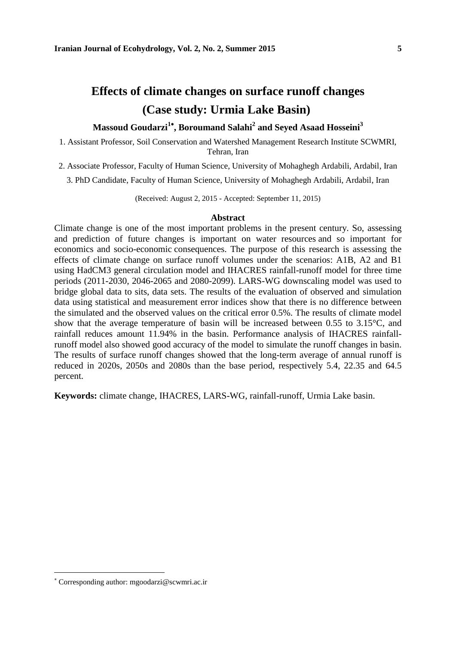# **Effects of climate changes on surface runoff changes (Case study: Urmia Lake Basin)**

### **Massoud Goudarzi<sup>1</sup> , Boroumand Salahi<sup>2</sup> and Seyed Asaad Hosseini<sup>3</sup>**

1. Assistant Professor, Soil Conservation and Watershed Management Research Institute SCWMRI, Tehran, Iran

2. Associate Professor, Faculty of Human Science, University of Mohaghegh Ardabili, Ardabil, Iran

3. PhD Candidate, Faculty of Human Science, University of Mohaghegh Ardabili, Ardabil, Iran

(Received: August 2, 2015 - Accepted: September 11, 2015)

### **Abstract**

Climate change is one of the most important problems in the present century. So, assessing and prediction of future changes is important on water resources and so important for economics and socio-economic consequences. The purpose of this research is assessing the effects of climate change on surface runoff volumes under the scenarios: A1B, A2 and B1 using HadCM3 general circulation model and IHACRES rainfall-runoff model for three time periods (2011-2030, 2046-2065 and 2080-2099). LARS-WG downscaling model was used to bridge global data to sits, data sets. The results of the evaluation of observed and simulation data using statistical and measurement error indices show that there is no difference between the simulated and the observed values on the critical error 0.5%. The results of climate model show that the average temperature of basin will be increased between 0.55 to 3.15°C, and rainfall reduces amount 11.94% in the basin. Performance analysis of IHACRES rainfallrunoff model also showed good accuracy of the model to simulate the runoff changes in basin. The results of surface runoff changes showed that the long-term average of annual runoff is reduced in 2020s, 2050s and 2080s than the base period, respectively 5.4, 22.35 and 64.5 percent.

**Keywords:** climate change, IHACRES, LARS-WG, rainfall-runoff, Urmia Lake basin.

Corresponding author: mgoodarzi@scwmri.ac.ir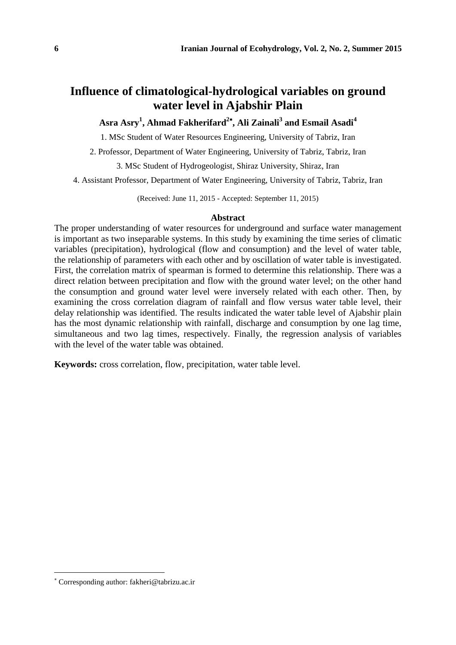## **Influence of climatological-hydrological variables on ground water level in Ajabshir Plain**

## **Asra Asry<sup>1</sup> , Ahmad Fakherifard<sup>2</sup> , Ali Zainali<sup>3</sup> and Esmail Asadi<sup>4</sup>**

1. MSc Student of Water Resources Engineering, University of Tabriz, Iran

2. Professor, Department of Water Engineering, University of Tabriz, Tabriz, Iran

3. MSc Student of Hydrogeologist, Shiraz University, Shiraz, Iran

4. Assistant Professor, Department of Water Engineering, University of Tabriz, Tabriz, Iran

(Received: June 11, 2015 - Accepted: September 11, 2015)

### **Abstract**

The proper understanding of water resources for underground and surface water management is important as two inseparable systems. In this study by examining the time series of climatic variables (precipitation), hydrological (flow and consumption) and the level of water table, the relationship of parameters with each other and by oscillation of water table is investigated. First, the correlation matrix of spearman is formed to determine this relationship. There was a direct relation between precipitation and flow with the ground water level; on the other hand the consumption and ground water level were inversely related with each other. Then, by examining the cross correlation diagram of rainfall and flow versus water table level, their delay relationship was identified. The results indicated the water table level of Ajabshir plain has the most dynamic relationship with rainfall, discharge and consumption by one lag time, simultaneous and two lag times, respectively. Finally, the regression analysis of variables with the level of the water table was obtained.

**Keywords:** cross correlation, flow, precipitation, water table level.

Corresponding author: fakheri@tabrizu.ac.ir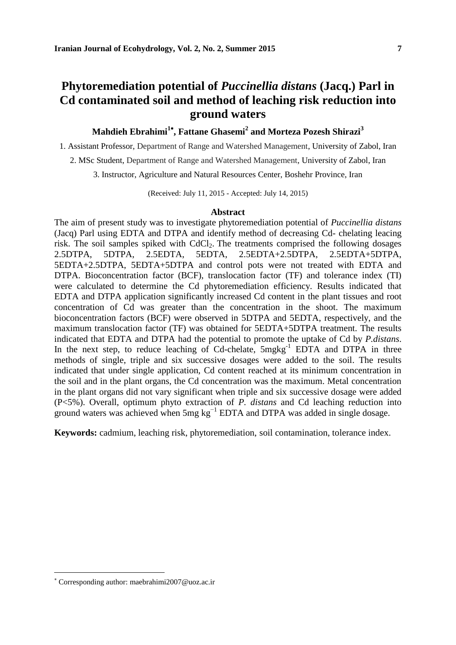## **Phytoremediation potential of** *Puccinellia distans* **(Jacq.) Parl in Cd contaminated soil and method of leaching risk reduction into ground waters**

### **Mahdieh Ebrahimi<sup>1</sup> , Fattane Ghasemi<sup>2</sup> and Morteza Pozesh Shirazi<sup>3</sup>**

1. Assistant Professor, Department of Range and Watershed Management, University of Zabol, Iran

2. MSc Student, Department of Range and Watershed Management, University of Zabol, Iran

3. Instructor, Agriculture and Natural Resources Center, Boshehr Province, Iran

(Received: July 11, 2015 - Accepted: July 14, 2015)

#### **Abstract**

The aim of present study was to investigate phytoremediation potential of *Puccinellia distans*  (Jacq) Parl using EDTA and DTPA and identify method of decreasing Cd- chelating leacing risk. The soil samples spiked with  $CdCl<sub>2</sub>$ . The treatments comprised the following dosages 2.5DTPA, 5DTPA, 2.5EDTA, 5EDTA, 2.5EDTA+2.5DTPA, 2.5EDTA+5DTPA, 5EDTA+2.5DTPA, 5EDTA+5DTPA and control pots were not treated with EDTA and DTPA. Bioconcentration factor (BCF), translocation factor (TF) and tolerance index (TI) were calculated to determine the Cd phytoremediation efficiency. Results indicated that EDTA and DTPA application significantly increased Cd content in the plant tissues and root concentration of Cd was greater than the concentration in the shoot. The maximum bioconcentration factors (BCF) were observed in 5DTPA and 5EDTA, respectively, and the maximum translocation factor (TF) was obtained for 5EDTA+5DTPA treatment. The results indicated that EDTA and DTPA had the potential to promote the uptake of Cd by *P.distans*. In the next step, to reduce leaching of Cd-chelate,  $5mgkg^{-1}$  EDTA and DTPA in three methods of single, triple and six successive dosages were added to the soil. The results indicated that under single application, Cd content reached at its minimum concentration in the soil and in the plant organs, the Cd concentration was the maximum. Metal concentration in the plant organs did not vary significant when triple and six successive dosage were added (P<5%). Overall, optimum phyto extraction of *P. distans* and Cd leaching reduction into ground waters was achieved when 5mg kg<sup>-1</sup> EDTA and DTPA was added in single dosage.

**Keywords:** cadmium, leaching risk, phytoremediation, soil contamination, tolerance index.

Corresponding author: maebrahimi2007@uoz.ac.ir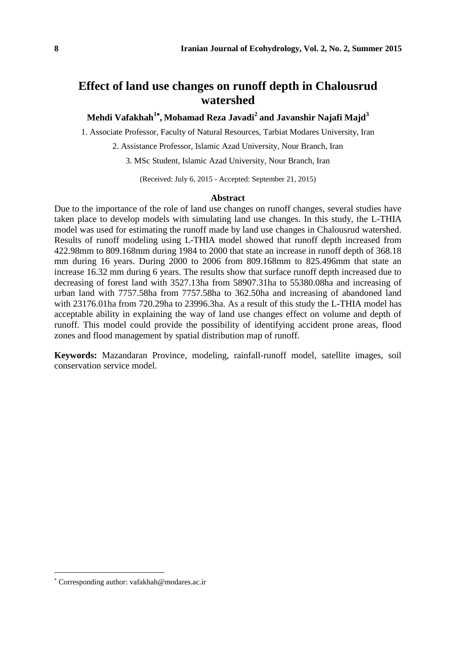# **Effect of land use changes on runoff depth in Chalousrud watershed**

**Mehdi Vafakhah<sup>1</sup> , Mohamad Reza Javadi<sup>2</sup> and Javanshir Najafi Majd<sup>3</sup>**

1. Associate Professor, Faculty of Natural Resources, Tarbiat Modares University, Iran

2. Assistance Professor, Islamic Azad University, Nour Branch, Iran

3. MSc Student, Islamic Azad University, Nour Branch, Iran

(Received: July 6, 2015 - Accepted: September 21, 2015)

### **Abstract**

Due to the importance of the role of land use changes on runoff changes, several studies have taken place to develop models with simulating land use changes. In this study, the L-THIA model was used for estimating the runoff made by land use changes in Chalousrud watershed. Results of runoff modeling using L-THIA model showed that runoff depth increased from 422.98mm to 809.168mm during 1984 to 2000 that state an increase in runoff depth of 368.18 mm during 16 years. During 2000 to 2006 from 809.168mm to 825.496mm that state an increase 16.32 mm during 6 years. The results show that surface runoff depth increased due to decreasing of forest land with 3527.13ha from 58907.31ha to 55380.08ha and increasing of urban land with 7757.58ha from 7757.58ha to 362.50ha and increasing of abandoned land with 23176.01ha from 720.29ha to 23996.3ha. As a result of this study the L-THIA model has acceptable ability in explaining the way of land use changes effect on volume and depth of runoff. This model could provide the possibility of identifying accident prone areas, flood zones and flood management by spatial distribution map of runoff.

**Keywords:** Mazandaran Province, modeling, rainfall-runoff model, satellite images, soil conservation service model.

Corresponding author: vafakhah@modares.ac.ir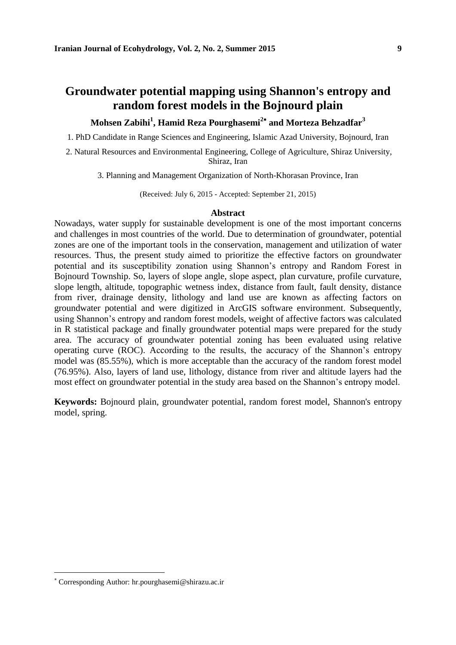## **Groundwater potential mapping using Shannon's entropy and random forest models in the Bojnourd plain**

## **Mohsen Zabihi<sup>1</sup> , Hamid Reza Pourghasemi<sup>2</sup> and Morteza Behzadfar<sup>3</sup>**

1. PhD Candidate in Range Sciences and Engineering, Islamic Azad University, Bojnourd, Iran

2. Natural Resources and Environmental Engineering, College of Agriculture, Shiraz University, Shiraz, Iran

3. Planning and Management Organization of North-Khorasan Province, Iran

(Received: July 6, 2015 - Accepted: September 21, 2015)

### **Abstract**

Nowadays, water supply for sustainable development is one of the most important concerns and challenges in most countries of the world. Due to determination of groundwater, potential zones are one of the important tools in the conservation, management and utilization of water resources. Thus, the present study aimed to prioritize the effective factors on groundwater potential and its susceptibility zonation using Shannon's entropy and Random Forest in Bojnourd Township. So, layers of slope angle, slope aspect, plan curvature, profile curvature, slope length, altitude, topographic wetness index, distance from fault, fault density, distance from river, drainage density, lithology and land use are known as affecting factors on groundwater potential and were digitized in ArcGIS software environment. Subsequently, using Shannon's entropy and random forest models, weight of affective factors was calculated in R statistical package and finally groundwater potential maps were prepared for the study area. The accuracy of groundwater potential zoning has been evaluated using relative operating curve (ROC). According to the results, the accuracy of the Shannon's entropy model was (85.55%), which is more acceptable than the accuracy of the random forest model (76.95%). Also, layers of land use, lithology, distance from river and altitude layers had the most effect on groundwater potential in the study area based on the Shannon's entropy model.

**Keywords:** Bojnourd plain, groundwater potential, random forest model, Shannon's entropy model, spring.

Corresponding Author: hr.pourghasemi@shirazu.ac.ir